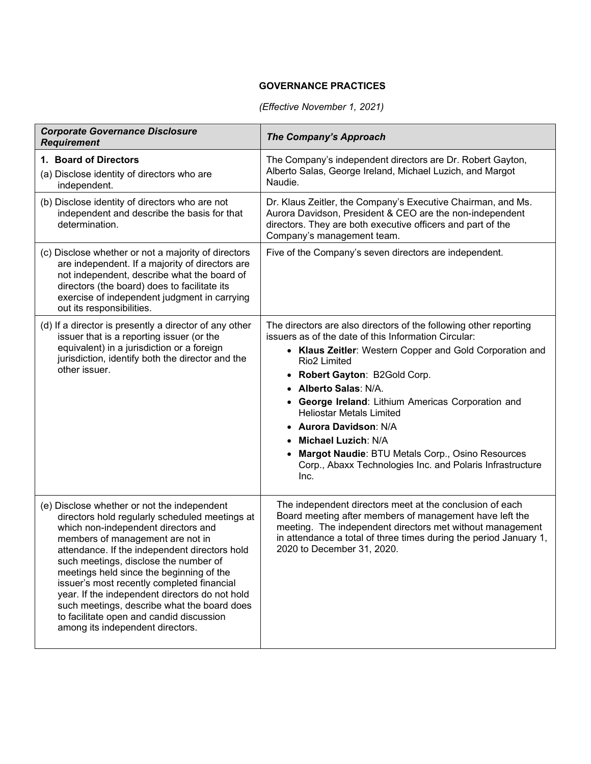## **GOVERNANCE PRACTICES**

## *(Effective November 1, 2021)*

| <b>Corporate Governance Disclosure</b><br><b>Requirement</b>                                                                                                                                                                                                                                                                                                                                                                                                                                                                                  | <b>The Company's Approach</b>                                                                                                                                                                                                                                                                                                                                                                                                                                                                                                                    |
|-----------------------------------------------------------------------------------------------------------------------------------------------------------------------------------------------------------------------------------------------------------------------------------------------------------------------------------------------------------------------------------------------------------------------------------------------------------------------------------------------------------------------------------------------|--------------------------------------------------------------------------------------------------------------------------------------------------------------------------------------------------------------------------------------------------------------------------------------------------------------------------------------------------------------------------------------------------------------------------------------------------------------------------------------------------------------------------------------------------|
| 1. Board of Directors<br>(a) Disclose identity of directors who are<br>independent.                                                                                                                                                                                                                                                                                                                                                                                                                                                           | The Company's independent directors are Dr. Robert Gayton,<br>Alberto Salas, George Ireland, Michael Luzich, and Margot<br>Naudie.                                                                                                                                                                                                                                                                                                                                                                                                               |
| (b) Disclose identity of directors who are not<br>independent and describe the basis for that<br>determination.                                                                                                                                                                                                                                                                                                                                                                                                                               | Dr. Klaus Zeitler, the Company's Executive Chairman, and Ms.<br>Aurora Davidson, President & CEO are the non-independent<br>directors. They are both executive officers and part of the<br>Company's management team.                                                                                                                                                                                                                                                                                                                            |
| (c) Disclose whether or not a majority of directors<br>are independent. If a majority of directors are<br>not independent, describe what the board of<br>directors (the board) does to facilitate its<br>exercise of independent judgment in carrying<br>out its responsibilities.                                                                                                                                                                                                                                                            | Five of the Company's seven directors are independent.                                                                                                                                                                                                                                                                                                                                                                                                                                                                                           |
| (d) If a director is presently a director of any other<br>issuer that is a reporting issuer (or the<br>equivalent) in a jurisdiction or a foreign<br>jurisdiction, identify both the director and the<br>other issuer.                                                                                                                                                                                                                                                                                                                        | The directors are also directors of the following other reporting<br>issuers as of the date of this Information Circular:<br>• Klaus Zeitler: Western Copper and Gold Corporation and<br>Rio <sub>2</sub> Limited<br>• Robert Gayton: B2Gold Corp.<br>• Alberto Salas: N/A.<br>• George Ireland: Lithium Americas Corporation and<br><b>Heliostar Metals Limited</b><br>• Aurora Davidson: N/A<br>• Michael Luzich: N/A<br>Margot Naudie: BTU Metals Corp., Osino Resources<br>Corp., Abaxx Technologies Inc. and Polaris Infrastructure<br>Inc. |
| (e) Disclose whether or not the independent<br>directors hold regularly scheduled meetings at<br>which non-independent directors and<br>members of management are not in<br>attendance. If the independent directors hold<br>such meetings, disclose the number of<br>meetings held since the beginning of the<br>issuer's most recently completed financial<br>year. If the independent directors do not hold<br>such meetings, describe what the board does<br>to facilitate open and candid discussion<br>among its independent directors. | The independent directors meet at the conclusion of each<br>Board meeting after members of management have left the<br>meeting. The independent directors met without management<br>in attendance a total of three times during the period January 1,<br>2020 to December 31, 2020.                                                                                                                                                                                                                                                              |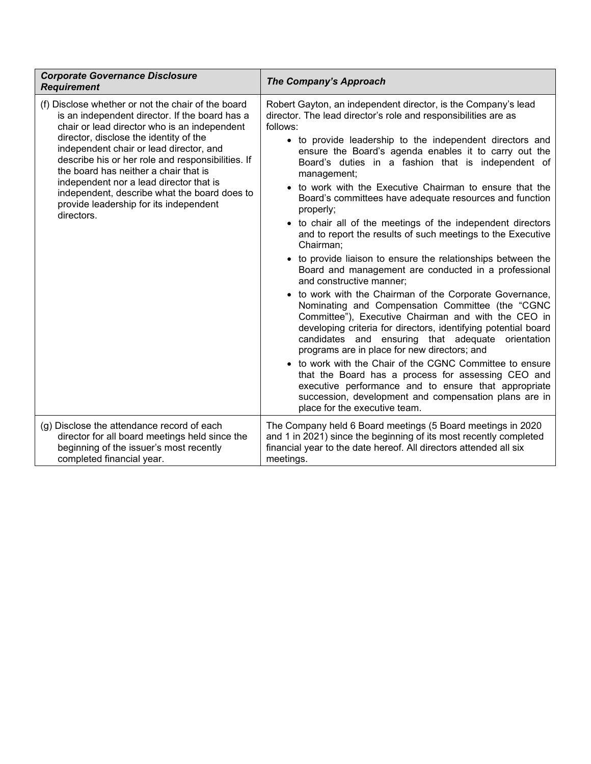| <b>Corporate Governance Disclosure</b><br><b>Requirement</b>                                                                                                                                                                                                                                                                                                                                                                                                                               | <b>The Company's Approach</b>                                                                                                                                                                                                                                                                                                                                                                                                                                                                                                                                                                                                                                                                                                                                                                                                                                                                                                                                                                                                                                                                                                                                                                                                                                                                                                                                                              |
|--------------------------------------------------------------------------------------------------------------------------------------------------------------------------------------------------------------------------------------------------------------------------------------------------------------------------------------------------------------------------------------------------------------------------------------------------------------------------------------------|--------------------------------------------------------------------------------------------------------------------------------------------------------------------------------------------------------------------------------------------------------------------------------------------------------------------------------------------------------------------------------------------------------------------------------------------------------------------------------------------------------------------------------------------------------------------------------------------------------------------------------------------------------------------------------------------------------------------------------------------------------------------------------------------------------------------------------------------------------------------------------------------------------------------------------------------------------------------------------------------------------------------------------------------------------------------------------------------------------------------------------------------------------------------------------------------------------------------------------------------------------------------------------------------------------------------------------------------------------------------------------------------|
| (f) Disclose whether or not the chair of the board<br>is an independent director. If the board has a<br>chair or lead director who is an independent<br>director, disclose the identity of the<br>independent chair or lead director, and<br>describe his or her role and responsibilities. If<br>the board has neither a chair that is<br>independent nor a lead director that is<br>independent, describe what the board does to<br>provide leadership for its independent<br>directors. | Robert Gayton, an independent director, is the Company's lead<br>director. The lead director's role and responsibilities are as<br>follows:<br>• to provide leadership to the independent directors and<br>ensure the Board's agenda enables it to carry out the<br>Board's duties in a fashion that is independent of<br>management;<br>• to work with the Executive Chairman to ensure that the<br>Board's committees have adequate resources and function<br>properly;<br>• to chair all of the meetings of the independent directors<br>and to report the results of such meetings to the Executive<br>Chairman;<br>• to provide liaison to ensure the relationships between the<br>Board and management are conducted in a professional<br>and constructive manner;<br>• to work with the Chairman of the Corporate Governance,<br>Nominating and Compensation Committee (the "CGNC<br>Committee"), Executive Chairman and with the CEO in<br>developing criteria for directors, identifying potential board<br>candidates and ensuring that adequate orientation<br>programs are in place for new directors; and<br>• to work with the Chair of the CGNC Committee to ensure<br>that the Board has a process for assessing CEO and<br>executive performance and to ensure that appropriate<br>succession, development and compensation plans are in<br>place for the executive team. |
| (g) Disclose the attendance record of each<br>director for all board meetings held since the<br>beginning of the issuer's most recently<br>completed financial year.                                                                                                                                                                                                                                                                                                                       | The Company held 6 Board meetings (5 Board meetings in 2020<br>and 1 in 2021) since the beginning of its most recently completed<br>financial year to the date hereof. All directors attended all six<br>meetings.                                                                                                                                                                                                                                                                                                                                                                                                                                                                                                                                                                                                                                                                                                                                                                                                                                                                                                                                                                                                                                                                                                                                                                         |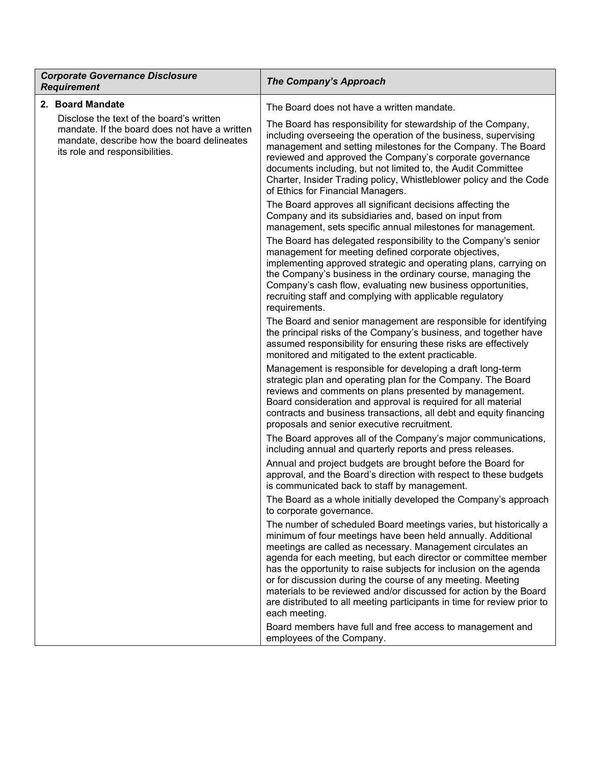| <b>Corporate Governance Disclosure</b><br><b>Requirement</b>                                                                                                              | <b>The Company's Approach</b>                                                                                                                                                                                                                                                                                                                                                                                                                                                                                                                                          |
|---------------------------------------------------------------------------------------------------------------------------------------------------------------------------|------------------------------------------------------------------------------------------------------------------------------------------------------------------------------------------------------------------------------------------------------------------------------------------------------------------------------------------------------------------------------------------------------------------------------------------------------------------------------------------------------------------------------------------------------------------------|
| 2. Board Mandate                                                                                                                                                          | The Board does not have a written mandate.                                                                                                                                                                                                                                                                                                                                                                                                                                                                                                                             |
| Disclose the text of the board's written<br>mandate. If the board does not have a written<br>mandate, describe how the board delineates<br>its role and responsibilities. | The Board has responsibility for stewardship of the Company,<br>including overseeing the operation of the business, supervising<br>management and setting milestones for the Company. The Board<br>reviewed and approved the Company's corporate governance<br>documents including, but not limited to, the Audit Committee<br>Charter, Insider Trading policy, Whistleblower policy and the Code<br>of Ethics for Financial Managers.                                                                                                                                 |
|                                                                                                                                                                           | The Board approves all significant decisions affecting the<br>Company and its subsidiaries and, based on input from<br>management, sets specific annual milestones for management.                                                                                                                                                                                                                                                                                                                                                                                     |
|                                                                                                                                                                           | The Board has delegated responsibility to the Company's senior<br>management for meeting defined corporate objectives,<br>implementing approved strategic and operating plans, carrying on<br>the Company's business in the ordinary course, managing the<br>Company's cash flow, evaluating new business opportunities,<br>recruiting staff and complying with applicable regulatory<br>requirements.                                                                                                                                                                 |
|                                                                                                                                                                           | The Board and senior management are responsible for identifying<br>the principal risks of the Company's business, and together have<br>assumed responsibility for ensuring these risks are effectively<br>monitored and mitigated to the extent practicable.                                                                                                                                                                                                                                                                                                           |
|                                                                                                                                                                           | Management is responsible for developing a draft long-term<br>strategic plan and operating plan for the Company. The Board<br>reviews and comments on plans presented by management.<br>Board consideration and approval is required for all material<br>contracts and business transactions, all debt and equity financing<br>proposals and senior executive recruitment.                                                                                                                                                                                             |
|                                                                                                                                                                           | The Board approves all of the Company's major communications,<br>including annual and quarterly reports and press releases.                                                                                                                                                                                                                                                                                                                                                                                                                                            |
|                                                                                                                                                                           | Annual and project budgets are brought before the Board for<br>approval, and the Board's direction with respect to these budgets<br>is communicated back to staff by management.                                                                                                                                                                                                                                                                                                                                                                                       |
|                                                                                                                                                                           | The Board as a whole initially developed the Company's approach<br>to corporate governance.                                                                                                                                                                                                                                                                                                                                                                                                                                                                            |
|                                                                                                                                                                           | The number of scheduled Board meetings varies, but historically a<br>minimum of four meetings have been held annually. Additional<br>meetings are called as necessary. Management circulates an<br>agenda for each meeting, but each director or committee member<br>has the opportunity to raise subjects for inclusion on the agenda<br>or for discussion during the course of any meeting. Meeting<br>materials to be reviewed and/or discussed for action by the Board<br>are distributed to all meeting participants in time for review prior to<br>each meeting. |
|                                                                                                                                                                           | Board members have full and free access to management and<br>employees of the Company.                                                                                                                                                                                                                                                                                                                                                                                                                                                                                 |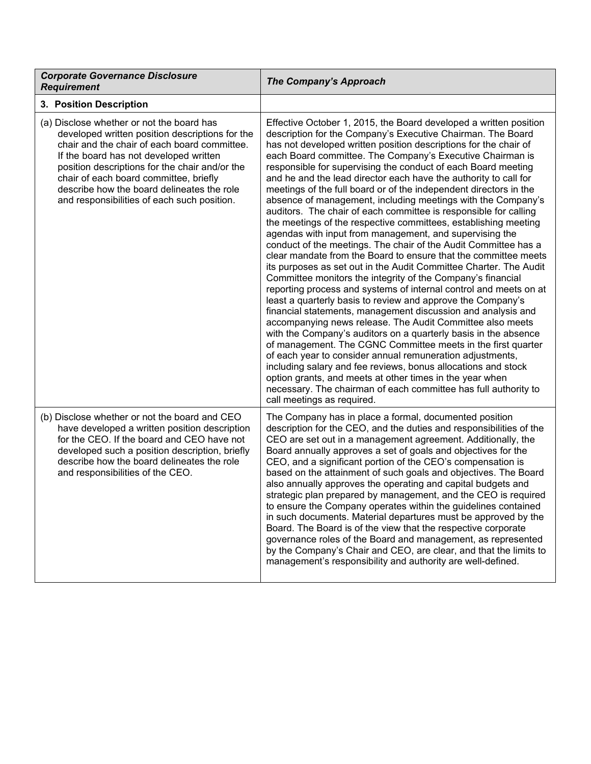| <b>Corporate Governance Disclosure</b><br><b>Requirement</b>                                                                                                                                                                                                                                                                                                                    | <b>The Company's Approach</b>                                                                                                                                                                                                                                                                                                                                                                                                                                                                                                                                                                                                                                                                                                                                                                                                                                                                                                                                                                                                                                                                                                                                                                                                                                                                                                                                                                                                                                                                                                                                                                                                                                                                                          |
|---------------------------------------------------------------------------------------------------------------------------------------------------------------------------------------------------------------------------------------------------------------------------------------------------------------------------------------------------------------------------------|------------------------------------------------------------------------------------------------------------------------------------------------------------------------------------------------------------------------------------------------------------------------------------------------------------------------------------------------------------------------------------------------------------------------------------------------------------------------------------------------------------------------------------------------------------------------------------------------------------------------------------------------------------------------------------------------------------------------------------------------------------------------------------------------------------------------------------------------------------------------------------------------------------------------------------------------------------------------------------------------------------------------------------------------------------------------------------------------------------------------------------------------------------------------------------------------------------------------------------------------------------------------------------------------------------------------------------------------------------------------------------------------------------------------------------------------------------------------------------------------------------------------------------------------------------------------------------------------------------------------------------------------------------------------------------------------------------------------|
| 3. Position Description                                                                                                                                                                                                                                                                                                                                                         |                                                                                                                                                                                                                                                                                                                                                                                                                                                                                                                                                                                                                                                                                                                                                                                                                                                                                                                                                                                                                                                                                                                                                                                                                                                                                                                                                                                                                                                                                                                                                                                                                                                                                                                        |
| (a) Disclose whether or not the board has<br>developed written position descriptions for the<br>chair and the chair of each board committee.<br>If the board has not developed written<br>position descriptions for the chair and/or the<br>chair of each board committee, briefly<br>describe how the board delineates the role<br>and responsibilities of each such position. | Effective October 1, 2015, the Board developed a written position<br>description for the Company's Executive Chairman. The Board<br>has not developed written position descriptions for the chair of<br>each Board committee. The Company's Executive Chairman is<br>responsible for supervising the conduct of each Board meeting<br>and he and the lead director each have the authority to call for<br>meetings of the full board or of the independent directors in the<br>absence of management, including meetings with the Company's<br>auditors. The chair of each committee is responsible for calling<br>the meetings of the respective committees, establishing meeting<br>agendas with input from management, and supervising the<br>conduct of the meetings. The chair of the Audit Committee has a<br>clear mandate from the Board to ensure that the committee meets<br>its purposes as set out in the Audit Committee Charter. The Audit<br>Committee monitors the integrity of the Company's financial<br>reporting process and systems of internal control and meets on at<br>least a quarterly basis to review and approve the Company's<br>financial statements, management discussion and analysis and<br>accompanying news release. The Audit Committee also meets<br>with the Company's auditors on a quarterly basis in the absence<br>of management. The CGNC Committee meets in the first quarter<br>of each year to consider annual remuneration adjustments,<br>including salary and fee reviews, bonus allocations and stock<br>option grants, and meets at other times in the year when<br>necessary. The chairman of each committee has full authority to<br>call meetings as required. |
| (b) Disclose whether or not the board and CEO<br>have developed a written position description<br>for the CEO. If the board and CEO have not<br>developed such a position description, briefly<br>describe how the board delineates the role<br>and responsibilities of the CEO.                                                                                                | The Company has in place a formal, documented position<br>description for the CEO, and the duties and responsibilities of the<br>CEO are set out in a management agreement. Additionally, the<br>Board annually approves a set of goals and objectives for the<br>CEO, and a significant portion of the CEO's compensation is<br>based on the attainment of such goals and objectives. The Board<br>also annually approves the operating and capital budgets and<br>strategic plan prepared by management, and the CEO is required<br>to ensure the Company operates within the guidelines contained<br>in such documents. Material departures must be approved by the<br>Board. The Board is of the view that the respective corporate<br>governance roles of the Board and management, as represented<br>by the Company's Chair and CEO, are clear, and that the limits to<br>management's responsibility and authority are well-defined.                                                                                                                                                                                                                                                                                                                                                                                                                                                                                                                                                                                                                                                                                                                                                                            |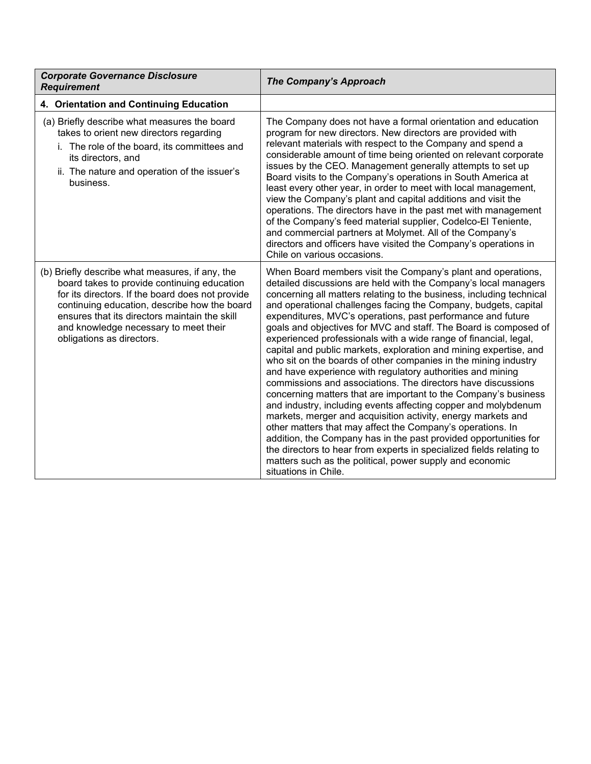| <b>Corporate Governance Disclosure</b><br><b>Requirement</b>                                                                                                                                                                                                                                                              | The Company's Approach                                                                                                                                                                                                                                                                                                                                                                                                                                                                                                                                                                                                                                                                                                                                                                                                                                                                                                                                                                                                                                                                                                                                                                                                                                     |
|---------------------------------------------------------------------------------------------------------------------------------------------------------------------------------------------------------------------------------------------------------------------------------------------------------------------------|------------------------------------------------------------------------------------------------------------------------------------------------------------------------------------------------------------------------------------------------------------------------------------------------------------------------------------------------------------------------------------------------------------------------------------------------------------------------------------------------------------------------------------------------------------------------------------------------------------------------------------------------------------------------------------------------------------------------------------------------------------------------------------------------------------------------------------------------------------------------------------------------------------------------------------------------------------------------------------------------------------------------------------------------------------------------------------------------------------------------------------------------------------------------------------------------------------------------------------------------------------|
| 4. Orientation and Continuing Education                                                                                                                                                                                                                                                                                   |                                                                                                                                                                                                                                                                                                                                                                                                                                                                                                                                                                                                                                                                                                                                                                                                                                                                                                                                                                                                                                                                                                                                                                                                                                                            |
| (a) Briefly describe what measures the board<br>takes to orient new directors regarding<br>i. The role of the board, its committees and<br>its directors, and<br>ii. The nature and operation of the issuer's<br>business.                                                                                                | The Company does not have a formal orientation and education<br>program for new directors. New directors are provided with<br>relevant materials with respect to the Company and spend a<br>considerable amount of time being oriented on relevant corporate<br>issues by the CEO. Management generally attempts to set up<br>Board visits to the Company's operations in South America at<br>least every other year, in order to meet with local management,<br>view the Company's plant and capital additions and visit the<br>operations. The directors have in the past met with management<br>of the Company's feed material supplier, Codelco-El Teniente,<br>and commercial partners at Molymet. All of the Company's<br>directors and officers have visited the Company's operations in<br>Chile on various occasions.                                                                                                                                                                                                                                                                                                                                                                                                                             |
| (b) Briefly describe what measures, if any, the<br>board takes to provide continuing education<br>for its directors. If the board does not provide<br>continuing education, describe how the board<br>ensures that its directors maintain the skill<br>and knowledge necessary to meet their<br>obligations as directors. | When Board members visit the Company's plant and operations,<br>detailed discussions are held with the Company's local managers<br>concerning all matters relating to the business, including technical<br>and operational challenges facing the Company, budgets, capital<br>expenditures, MVC's operations, past performance and future<br>goals and objectives for MVC and staff. The Board is composed of<br>experienced professionals with a wide range of financial, legal,<br>capital and public markets, exploration and mining expertise, and<br>who sit on the boards of other companies in the mining industry<br>and have experience with regulatory authorities and mining<br>commissions and associations. The directors have discussions<br>concerning matters that are important to the Company's business<br>and industry, including events affecting copper and molybdenum<br>markets, merger and acquisition activity, energy markets and<br>other matters that may affect the Company's operations. In<br>addition, the Company has in the past provided opportunities for<br>the directors to hear from experts in specialized fields relating to<br>matters such as the political, power supply and economic<br>situations in Chile. |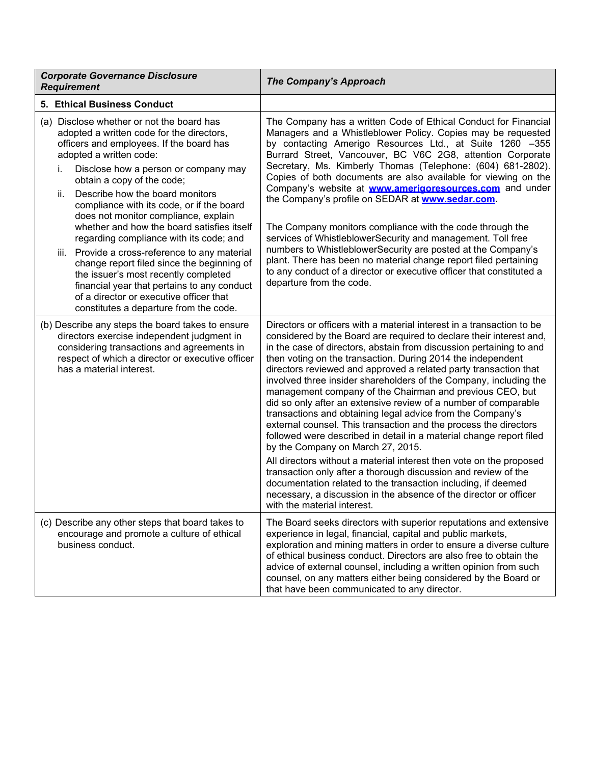| <b>Corporate Governance Disclosure</b><br><b>Requirement</b>                                                                                                                                                                                                                                                                                                                                                                                                                                                                                                                                                                                                                                                                                  | The Company's Approach                                                                                                                                                                                                                                                                                                                                                                                                                                                                                                                                                                                                                                                                                                                                                                                                                                                                                                                                                                                                                                                                                                 |
|-----------------------------------------------------------------------------------------------------------------------------------------------------------------------------------------------------------------------------------------------------------------------------------------------------------------------------------------------------------------------------------------------------------------------------------------------------------------------------------------------------------------------------------------------------------------------------------------------------------------------------------------------------------------------------------------------------------------------------------------------|------------------------------------------------------------------------------------------------------------------------------------------------------------------------------------------------------------------------------------------------------------------------------------------------------------------------------------------------------------------------------------------------------------------------------------------------------------------------------------------------------------------------------------------------------------------------------------------------------------------------------------------------------------------------------------------------------------------------------------------------------------------------------------------------------------------------------------------------------------------------------------------------------------------------------------------------------------------------------------------------------------------------------------------------------------------------------------------------------------------------|
| 5. Ethical Business Conduct                                                                                                                                                                                                                                                                                                                                                                                                                                                                                                                                                                                                                                                                                                                   |                                                                                                                                                                                                                                                                                                                                                                                                                                                                                                                                                                                                                                                                                                                                                                                                                                                                                                                                                                                                                                                                                                                        |
| (a) Disclose whether or not the board has<br>adopted a written code for the directors,<br>officers and employees. If the board has<br>adopted a written code:<br>Disclose how a person or company may<br>i.<br>obtain a copy of the code;<br>Describe how the board monitors<br>ii.<br>compliance with its code, or if the board<br>does not monitor compliance, explain<br>whether and how the board satisfies itself<br>regarding compliance with its code; and<br>iii. Provide a cross-reference to any material<br>change report filed since the beginning of<br>the issuer's most recently completed<br>financial year that pertains to any conduct<br>of a director or executive officer that<br>constitutes a departure from the code. | The Company has a written Code of Ethical Conduct for Financial<br>Managers and a Whistleblower Policy. Copies may be requested<br>by contacting Amerigo Resources Ltd., at Suite 1260 -355<br>Burrard Street, Vancouver, BC V6C 2G8, attention Corporate<br>Secretary, Ms. Kimberly Thomas (Telephone: (604) 681-2802).<br>Copies of both documents are also available for viewing on the<br>Company's website at <b>www.amerigoresources.com</b> and under<br>the Company's profile on SEDAR at www.sedar.com.<br>The Company monitors compliance with the code through the<br>services of WhistleblowerSecurity and management. Toll free<br>numbers to WhistleblowerSecurity are posted at the Company's<br>plant. There has been no material change report filed pertaining<br>to any conduct of a director or executive officer that constituted a<br>departure from the code.                                                                                                                                                                                                                                   |
| (b) Describe any steps the board takes to ensure<br>directors exercise independent judgment in<br>considering transactions and agreements in<br>respect of which a director or executive officer<br>has a material interest.                                                                                                                                                                                                                                                                                                                                                                                                                                                                                                                  | Directors or officers with a material interest in a transaction to be<br>considered by the Board are required to declare their interest and,<br>in the case of directors, abstain from discussion pertaining to and<br>then voting on the transaction. During 2014 the independent<br>directors reviewed and approved a related party transaction that<br>involved three insider shareholders of the Company, including the<br>management company of the Chairman and previous CEO, but<br>did so only after an extensive review of a number of comparable<br>transactions and obtaining legal advice from the Company's<br>external counsel. This transaction and the process the directors<br>followed were described in detail in a material change report filed<br>by the Company on March 27, 2015.<br>All directors without a material interest then vote on the proposed<br>transaction only after a thorough discussion and review of the<br>documentation related to the transaction including, if deemed<br>necessary, a discussion in the absence of the director or officer<br>with the material interest. |
| (c) Describe any other steps that board takes to<br>encourage and promote a culture of ethical<br>business conduct.                                                                                                                                                                                                                                                                                                                                                                                                                                                                                                                                                                                                                           | The Board seeks directors with superior reputations and extensive<br>experience in legal, financial, capital and public markets,<br>exploration and mining matters in order to ensure a diverse culture<br>of ethical business conduct. Directors are also free to obtain the<br>advice of external counsel, including a written opinion from such<br>counsel, on any matters either being considered by the Board or<br>that have been communicated to any director.                                                                                                                                                                                                                                                                                                                                                                                                                                                                                                                                                                                                                                                  |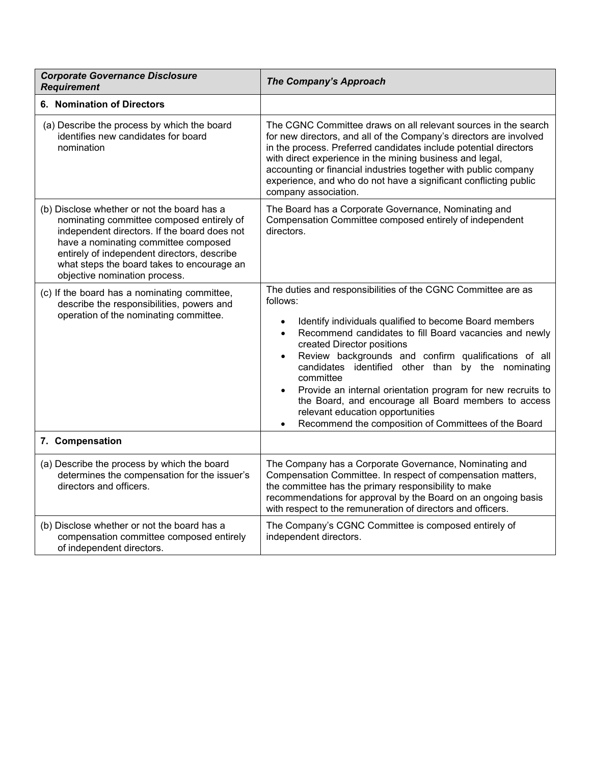| <b>Corporate Governance Disclosure</b><br><b>Requirement</b>                                                                                                                                                                                                                                                   | The Company's Approach                                                                                                                                                                                                                                                                                                                                                                                                                                                                                                                                                                                                                    |
|----------------------------------------------------------------------------------------------------------------------------------------------------------------------------------------------------------------------------------------------------------------------------------------------------------------|-------------------------------------------------------------------------------------------------------------------------------------------------------------------------------------------------------------------------------------------------------------------------------------------------------------------------------------------------------------------------------------------------------------------------------------------------------------------------------------------------------------------------------------------------------------------------------------------------------------------------------------------|
| <b>6. Nomination of Directors</b>                                                                                                                                                                                                                                                                              |                                                                                                                                                                                                                                                                                                                                                                                                                                                                                                                                                                                                                                           |
| (a) Describe the process by which the board<br>identifies new candidates for board<br>nomination                                                                                                                                                                                                               | The CGNC Committee draws on all relevant sources in the search<br>for new directors, and all of the Company's directors are involved<br>in the process. Preferred candidates include potential directors<br>with direct experience in the mining business and legal,<br>accounting or financial industries together with public company<br>experience, and who do not have a significant conflicting public<br>company association.                                                                                                                                                                                                       |
| (b) Disclose whether or not the board has a<br>nominating committee composed entirely of<br>independent directors. If the board does not<br>have a nominating committee composed<br>entirely of independent directors, describe<br>what steps the board takes to encourage an<br>objective nomination process. | The Board has a Corporate Governance, Nominating and<br>Compensation Committee composed entirely of independent<br>directors.                                                                                                                                                                                                                                                                                                                                                                                                                                                                                                             |
| (c) If the board has a nominating committee,<br>describe the responsibilities, powers and<br>operation of the nominating committee.                                                                                                                                                                            | The duties and responsibilities of the CGNC Committee are as<br>follows:<br>Identify individuals qualified to become Board members<br>$\bullet$<br>Recommend candidates to fill Board vacancies and newly<br>$\bullet$<br>created Director positions<br>Review backgrounds and confirm qualifications of all<br>$\bullet$<br>candidates identified other than by the nominating<br>committee<br>Provide an internal orientation program for new recruits to<br>$\bullet$<br>the Board, and encourage all Board members to access<br>relevant education opportunities<br>Recommend the composition of Committees of the Board<br>$\bullet$ |
| 7. Compensation                                                                                                                                                                                                                                                                                                |                                                                                                                                                                                                                                                                                                                                                                                                                                                                                                                                                                                                                                           |
| (a) Describe the process by which the board<br>determines the compensation for the issuer's<br>directors and officers.                                                                                                                                                                                         | The Company has a Corporate Governance, Nominating and<br>Compensation Committee. In respect of compensation matters,<br>the committee has the primary responsibility to make<br>recommendations for approval by the Board on an ongoing basis<br>with respect to the remuneration of directors and officers.                                                                                                                                                                                                                                                                                                                             |
| (b) Disclose whether or not the board has a<br>compensation committee composed entirely<br>of independent directors.                                                                                                                                                                                           | The Company's CGNC Committee is composed entirely of<br>independent directors.                                                                                                                                                                                                                                                                                                                                                                                                                                                                                                                                                            |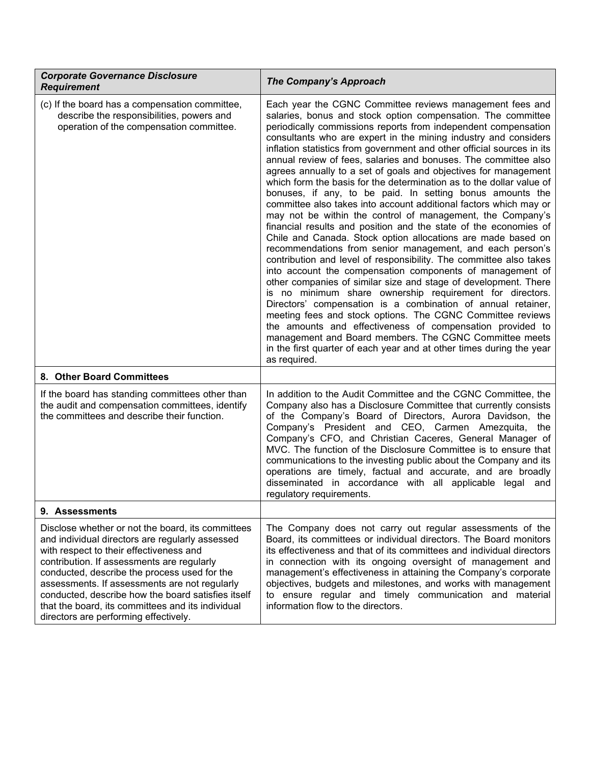| <b>Corporate Governance Disclosure</b><br><b>Requirement</b>                                                                                                                                                                                                                                                                                                                                                                                       | <b>The Company's Approach</b>                                                                                                                                                                                                                                                                                                                                                                                                                                                                                                                                                                                                                                                                                                                                                                                                                                                                                                                                                                                                                                                                                                                                                                                                                                                                                                                                                                                                                                                                                                                                         |
|----------------------------------------------------------------------------------------------------------------------------------------------------------------------------------------------------------------------------------------------------------------------------------------------------------------------------------------------------------------------------------------------------------------------------------------------------|-----------------------------------------------------------------------------------------------------------------------------------------------------------------------------------------------------------------------------------------------------------------------------------------------------------------------------------------------------------------------------------------------------------------------------------------------------------------------------------------------------------------------------------------------------------------------------------------------------------------------------------------------------------------------------------------------------------------------------------------------------------------------------------------------------------------------------------------------------------------------------------------------------------------------------------------------------------------------------------------------------------------------------------------------------------------------------------------------------------------------------------------------------------------------------------------------------------------------------------------------------------------------------------------------------------------------------------------------------------------------------------------------------------------------------------------------------------------------------------------------------------------------------------------------------------------------|
| (c) If the board has a compensation committee,<br>describe the responsibilities, powers and<br>operation of the compensation committee.                                                                                                                                                                                                                                                                                                            | Each year the CGNC Committee reviews management fees and<br>salaries, bonus and stock option compensation. The committee<br>periodically commissions reports from independent compensation<br>consultants who are expert in the mining industry and considers<br>inflation statistics from government and other official sources in its<br>annual review of fees, salaries and bonuses. The committee also<br>agrees annually to a set of goals and objectives for management<br>which form the basis for the determination as to the dollar value of<br>bonuses, if any, to be paid. In setting bonus amounts the<br>committee also takes into account additional factors which may or<br>may not be within the control of management, the Company's<br>financial results and position and the state of the economies of<br>Chile and Canada. Stock option allocations are made based on<br>recommendations from senior management, and each person's<br>contribution and level of responsibility. The committee also takes<br>into account the compensation components of management of<br>other companies of similar size and stage of development. There<br>is no minimum share ownership requirement for directors.<br>Directors' compensation is a combination of annual retainer,<br>meeting fees and stock options. The CGNC Committee reviews<br>the amounts and effectiveness of compensation provided to<br>management and Board members. The CGNC Committee meets<br>in the first quarter of each year and at other times during the year<br>as required. |
| 8. Other Board Committees                                                                                                                                                                                                                                                                                                                                                                                                                          |                                                                                                                                                                                                                                                                                                                                                                                                                                                                                                                                                                                                                                                                                                                                                                                                                                                                                                                                                                                                                                                                                                                                                                                                                                                                                                                                                                                                                                                                                                                                                                       |
| If the board has standing committees other than<br>the audit and compensation committees, identify<br>the committees and describe their function.                                                                                                                                                                                                                                                                                                  | In addition to the Audit Committee and the CGNC Committee, the<br>Company also has a Disclosure Committee that currently consists<br>of the Company's Board of Directors, Aurora Davidson, the<br>Company's President and CEO, Carmen Amezquita, the<br>Company's CFO, and Christian Caceres, General Manager of<br>MVC. The function of the Disclosure Committee is to ensure that<br>communications to the investing public about the Company and its<br>operations are timely, factual and accurate, and are broadly<br>disseminated in accordance with all applicable legal and<br>regulatory requirements.                                                                                                                                                                                                                                                                                                                                                                                                                                                                                                                                                                                                                                                                                                                                                                                                                                                                                                                                                       |
| 9. Assessments                                                                                                                                                                                                                                                                                                                                                                                                                                     |                                                                                                                                                                                                                                                                                                                                                                                                                                                                                                                                                                                                                                                                                                                                                                                                                                                                                                                                                                                                                                                                                                                                                                                                                                                                                                                                                                                                                                                                                                                                                                       |
| Disclose whether or not the board, its committees<br>and individual directors are regularly assessed<br>with respect to their effectiveness and<br>contribution. If assessments are regularly<br>conducted, describe the process used for the<br>assessments. If assessments are not regularly<br>conducted, describe how the board satisfies itself<br>that the board, its committees and its individual<br>directors are performing effectively. | The Company does not carry out regular assessments of the<br>Board, its committees or individual directors. The Board monitors<br>its effectiveness and that of its committees and individual directors<br>in connection with its ongoing oversight of management and<br>management's effectiveness in attaining the Company's corporate<br>objectives, budgets and milestones, and works with management<br>to ensure regular and timely communication and material<br>information flow to the directors.                                                                                                                                                                                                                                                                                                                                                                                                                                                                                                                                                                                                                                                                                                                                                                                                                                                                                                                                                                                                                                                            |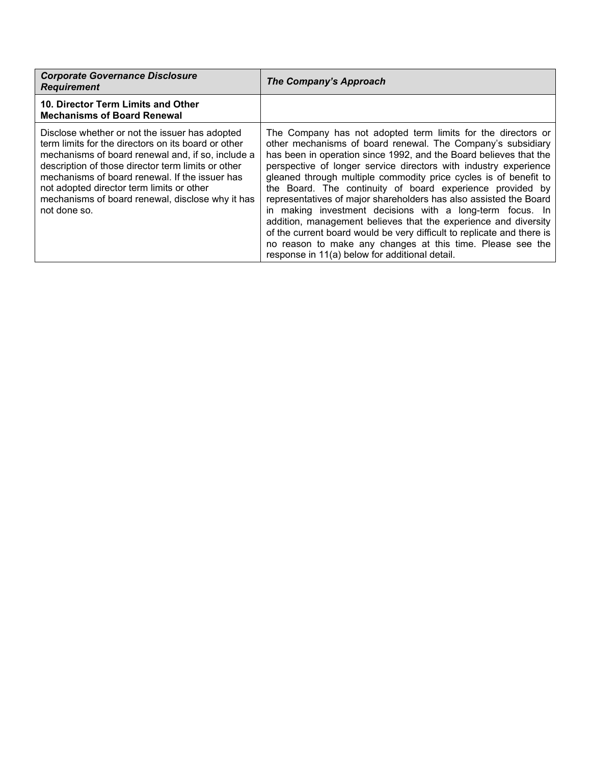| <b>Corporate Governance Disclosure</b><br><b>Requirement</b>                                                                                                                                                                                                                                                                                                                        | The Company's Approach                                                                                                                                                                                                                                                                                                                                                                                                                                                                                                                                                                                                                                                                                                                                                                               |
|-------------------------------------------------------------------------------------------------------------------------------------------------------------------------------------------------------------------------------------------------------------------------------------------------------------------------------------------------------------------------------------|------------------------------------------------------------------------------------------------------------------------------------------------------------------------------------------------------------------------------------------------------------------------------------------------------------------------------------------------------------------------------------------------------------------------------------------------------------------------------------------------------------------------------------------------------------------------------------------------------------------------------------------------------------------------------------------------------------------------------------------------------------------------------------------------------|
| 10. Director Term Limits and Other<br><b>Mechanisms of Board Renewal</b>                                                                                                                                                                                                                                                                                                            |                                                                                                                                                                                                                                                                                                                                                                                                                                                                                                                                                                                                                                                                                                                                                                                                      |
| Disclose whether or not the issuer has adopted<br>term limits for the directors on its board or other<br>mechanisms of board renewal and, if so, include a<br>description of those director term limits or other<br>mechanisms of board renewal. If the issuer has<br>not adopted director term limits or other<br>mechanisms of board renewal, disclose why it has<br>not done so. | The Company has not adopted term limits for the directors or<br>other mechanisms of board renewal. The Company's subsidiary<br>has been in operation since 1992, and the Board believes that the<br>perspective of longer service directors with industry experience<br>gleaned through multiple commodity price cycles is of benefit to<br>the Board. The continuity of board experience provided by<br>representatives of major shareholders has also assisted the Board<br>in making investment decisions with a long-term focus. In<br>addition, management believes that the experience and diversity<br>of the current board would be very difficult to replicate and there is<br>no reason to make any changes at this time. Please see the<br>response in 11(a) below for additional detail. |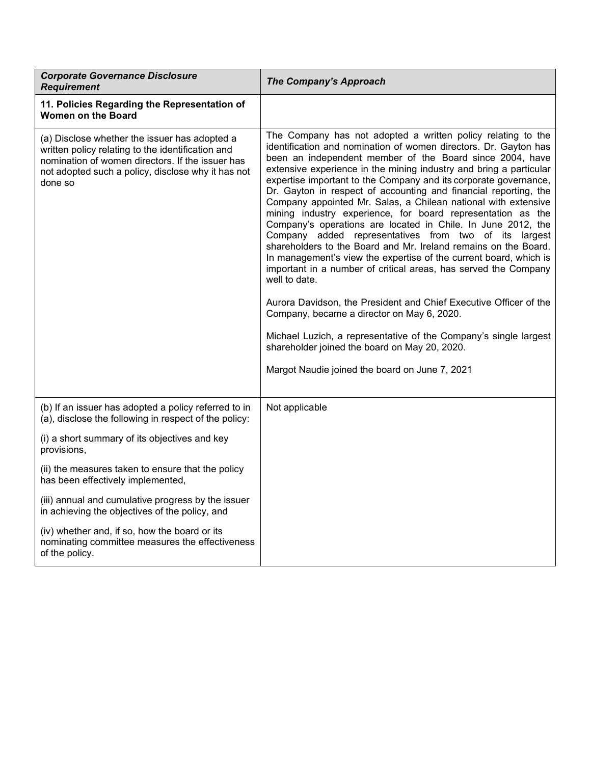| <b>Corporate Governance Disclosure</b><br><b>Requirement</b>                                                                                                                                                            | The Company's Approach                                                                                                                                                                                                                                                                                                                                                                                                                                                                                                                                                                                                                                                                                                                                                                                                                                                                                                                                                                                                                                                                                                                                                                     |
|-------------------------------------------------------------------------------------------------------------------------------------------------------------------------------------------------------------------------|--------------------------------------------------------------------------------------------------------------------------------------------------------------------------------------------------------------------------------------------------------------------------------------------------------------------------------------------------------------------------------------------------------------------------------------------------------------------------------------------------------------------------------------------------------------------------------------------------------------------------------------------------------------------------------------------------------------------------------------------------------------------------------------------------------------------------------------------------------------------------------------------------------------------------------------------------------------------------------------------------------------------------------------------------------------------------------------------------------------------------------------------------------------------------------------------|
| 11. Policies Regarding the Representation of<br><b>Women on the Board</b>                                                                                                                                               |                                                                                                                                                                                                                                                                                                                                                                                                                                                                                                                                                                                                                                                                                                                                                                                                                                                                                                                                                                                                                                                                                                                                                                                            |
| (a) Disclose whether the issuer has adopted a<br>written policy relating to the identification and<br>nomination of women directors. If the issuer has<br>not adopted such a policy, disclose why it has not<br>done so | The Company has not adopted a written policy relating to the<br>identification and nomination of women directors. Dr. Gayton has<br>been an independent member of the Board since 2004, have<br>extensive experience in the mining industry and bring a particular<br>expertise important to the Company and its corporate governance,<br>Dr. Gayton in respect of accounting and financial reporting, the<br>Company appointed Mr. Salas, a Chilean national with extensive<br>mining industry experience, for board representation as the<br>Company's operations are located in Chile. In June 2012, the<br>Company added representatives from two of its largest<br>shareholders to the Board and Mr. Ireland remains on the Board.<br>In management's view the expertise of the current board, which is<br>important in a number of critical areas, has served the Company<br>well to date.<br>Aurora Davidson, the President and Chief Executive Officer of the<br>Company, became a director on May 6, 2020.<br>Michael Luzich, a representative of the Company's single largest<br>shareholder joined the board on May 20, 2020.<br>Margot Naudie joined the board on June 7, 2021 |
| (b) If an issuer has adopted a policy referred to in<br>(a), disclose the following in respect of the policy:                                                                                                           | Not applicable                                                                                                                                                                                                                                                                                                                                                                                                                                                                                                                                                                                                                                                                                                                                                                                                                                                                                                                                                                                                                                                                                                                                                                             |
| (i) a short summary of its objectives and key<br>provisions,                                                                                                                                                            |                                                                                                                                                                                                                                                                                                                                                                                                                                                                                                                                                                                                                                                                                                                                                                                                                                                                                                                                                                                                                                                                                                                                                                                            |
| (ii) the measures taken to ensure that the policy<br>has been effectively implemented,                                                                                                                                  |                                                                                                                                                                                                                                                                                                                                                                                                                                                                                                                                                                                                                                                                                                                                                                                                                                                                                                                                                                                                                                                                                                                                                                                            |
| (iii) annual and cumulative progress by the issuer<br>in achieving the objectives of the policy, and                                                                                                                    |                                                                                                                                                                                                                                                                                                                                                                                                                                                                                                                                                                                                                                                                                                                                                                                                                                                                                                                                                                                                                                                                                                                                                                                            |
| (iv) whether and, if so, how the board or its<br>nominating committee measures the effectiveness<br>of the policy.                                                                                                      |                                                                                                                                                                                                                                                                                                                                                                                                                                                                                                                                                                                                                                                                                                                                                                                                                                                                                                                                                                                                                                                                                                                                                                                            |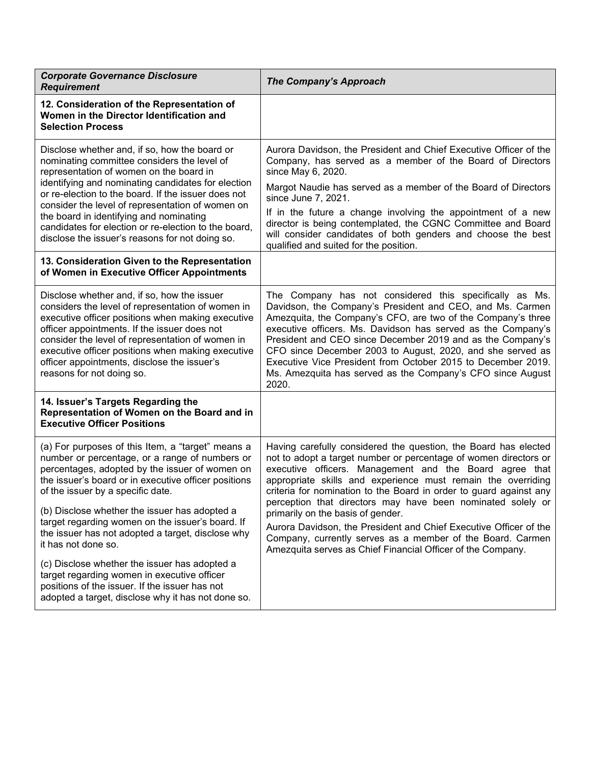| <b>Corporate Governance Disclosure</b><br><b>Requirement</b>                                                                                                                                                                                                                                                                                                                                                                                                   | <b>The Company's Approach</b>                                                                                                                                                                                                                                                                                                                                                                                                                                                                                           |
|----------------------------------------------------------------------------------------------------------------------------------------------------------------------------------------------------------------------------------------------------------------------------------------------------------------------------------------------------------------------------------------------------------------------------------------------------------------|-------------------------------------------------------------------------------------------------------------------------------------------------------------------------------------------------------------------------------------------------------------------------------------------------------------------------------------------------------------------------------------------------------------------------------------------------------------------------------------------------------------------------|
| 12. Consideration of the Representation of<br>Women in the Director Identification and<br><b>Selection Process</b>                                                                                                                                                                                                                                                                                                                                             |                                                                                                                                                                                                                                                                                                                                                                                                                                                                                                                         |
| Disclose whether and, if so, how the board or<br>nominating committee considers the level of<br>representation of women on the board in<br>identifying and nominating candidates for election<br>or re-election to the board. If the issuer does not<br>consider the level of representation of women on<br>the board in identifying and nominating<br>candidates for election or re-election to the board,<br>disclose the issuer's reasons for not doing so. | Aurora Davidson, the President and Chief Executive Officer of the<br>Company, has served as a member of the Board of Directors<br>since May 6, 2020.<br>Margot Naudie has served as a member of the Board of Directors<br>since June 7, 2021.<br>If in the future a change involving the appointment of a new<br>director is being contemplated, the CGNC Committee and Board<br>will consider candidates of both genders and choose the best<br>qualified and suited for the position.                                 |
| 13. Consideration Given to the Representation<br>of Women in Executive Officer Appointments                                                                                                                                                                                                                                                                                                                                                                    |                                                                                                                                                                                                                                                                                                                                                                                                                                                                                                                         |
| Disclose whether and, if so, how the issuer<br>considers the level of representation of women in<br>executive officer positions when making executive<br>officer appointments. If the issuer does not<br>consider the level of representation of women in<br>executive officer positions when making executive<br>officer appointments, disclose the issuer's<br>reasons for not doing so.                                                                     | The Company has not considered this specifically as Ms.<br>Davidson, the Company's President and CEO, and Ms. Carmen<br>Amezquita, the Company's CFO, are two of the Company's three<br>executive officers. Ms. Davidson has served as the Company's<br>President and CEO since December 2019 and as the Company's<br>CFO since December 2003 to August, 2020, and she served as<br>Executive Vice President from October 2015 to December 2019.<br>Ms. Amezquita has served as the Company's CFO since August<br>2020. |
| 14. Issuer's Targets Regarding the<br>Representation of Women on the Board and in<br><b>Executive Officer Positions</b>                                                                                                                                                                                                                                                                                                                                        |                                                                                                                                                                                                                                                                                                                                                                                                                                                                                                                         |
| (a) For purposes of this Item, a "target" means a<br>number or percentage, or a range of numbers or<br>percentages, adopted by the issuer of women on<br>the issuer's board or in executive officer positions<br>of the issuer by a specific date.                                                                                                                                                                                                             | Having carefully considered the question, the Board has elected<br>not to adopt a target number or percentage of women directors or<br>executive officers. Management and the Board agree that<br>appropriate skills and experience must remain the overriding<br>criteria for nomination to the Board in order to guard against any                                                                                                                                                                                    |
| (b) Disclose whether the issuer has adopted a<br>target regarding women on the issuer's board. If<br>the issuer has not adopted a target, disclose why<br>it has not done so.                                                                                                                                                                                                                                                                                  | perception that directors may have been nominated solely or<br>primarily on the basis of gender.<br>Aurora Davidson, the President and Chief Executive Officer of the<br>Company, currently serves as a member of the Board. Carmen<br>Amezquita serves as Chief Financial Officer of the Company.                                                                                                                                                                                                                      |
| (c) Disclose whether the issuer has adopted a<br>target regarding women in executive officer<br>positions of the issuer. If the issuer has not<br>adopted a target, disclose why it has not done so.                                                                                                                                                                                                                                                           |                                                                                                                                                                                                                                                                                                                                                                                                                                                                                                                         |